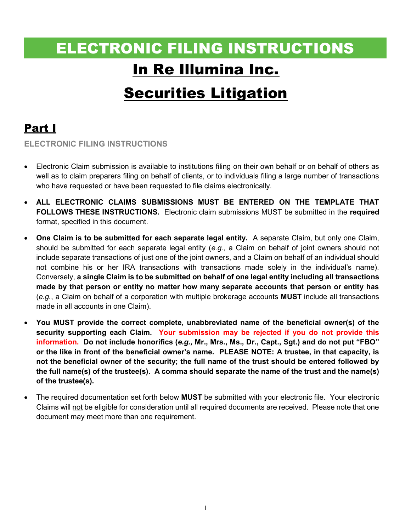# ELECTRONIC FILING INSTRUCTIONS In Re Illumina Inc.

# Securities Litigation

## Part I

ELECTRONIC FILING INSTRUCTIONS

- Electronic Claim submission is available to institutions filing on their own behalf or on behalf of others as well as to claim preparers filing on behalf of clients, or to individuals filing a large number of transactions who have requested or have been requested to file claims electronically.
- ALL ELECTRONIC CLAIMS SUBMISSIONS MUST BE ENTERED ON THE TEMPLATE THAT FOLLOWS THESE INSTRUCTIONS. Electronic claim submissions MUST be submitted in the required format, specified in this document.
- One Claim is to be submitted for each separate legal entity. A separate Claim, but only one Claim, should be submitted for each separate legal entity (e.g., a Claim on behalf of joint owners should not include separate transactions of just one of the joint owners, and a Claim on behalf of an individual should not combine his or her IRA transactions with transactions made solely in the individual's name). Conversely, a single Claim is to be submitted on behalf of one legal entity including all transactions made by that person or entity no matter how many separate accounts that person or entity has (e.g., a Claim on behalf of a corporation with multiple brokerage accounts MUST include all transactions made in all accounts in one Claim).
- You MUST provide the correct complete, unabbreviated name of the beneficial owner(s) of the security supporting each Claim. Your submission may be rejected if you do not provide this information. Do not include honorifics (e.g., Mr., Mrs., Ms., Dr., Capt., Sgt.) and do not put "FBO" or the like in front of the beneficial owner's name. PLEASE NOTE: A trustee, in that capacity, is not the beneficial owner of the security; the full name of the trust should be entered followed by the full name(s) of the trustee(s). A comma should separate the name of the trust and the name(s) of the trustee(s).
- The required documentation set forth below **MUST** be submitted with your electronic file. Your electronic Claims will not be eligible for consideration until all required documents are received. Please note that one document may meet more than one requirement.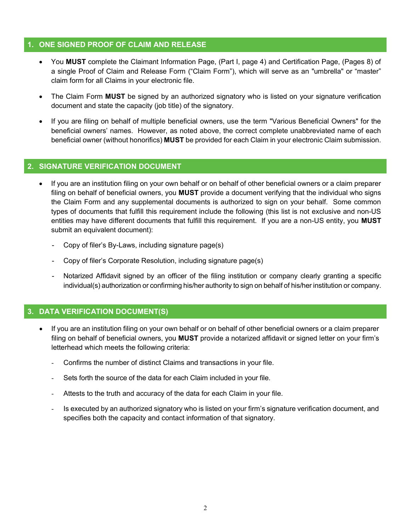#### 1. ONE SIGNED PROOF OF CLAIM AND RELEASE

- You MUST complete the Claimant Information Page, (Part I, page 4) and Certification Page, (Pages 8) of a single Proof of Claim and Release Form ("Claim Form"), which will serve as an "umbrella" or "master" claim form for all Claims in your electronic file.
- The Claim Form MUST be signed by an authorized signatory who is listed on your signature verification document and state the capacity (job title) of the signatory.
- If you are filing on behalf of multiple beneficial owners, use the term "Various Beneficial Owners" for the beneficial owners' names. However, as noted above, the correct complete unabbreviated name of each beneficial owner (without honorifics) MUST be provided for each Claim in your electronic Claim submission.

#### 2. SIGNATURE VERIFICATION DOCUMENT

- If you are an institution filing on your own behalf or on behalf of other beneficial owners or a claim preparer filing on behalf of beneficial owners, you **MUST** provide a document verifying that the individual who signs the Claim Form and any supplemental documents is authorized to sign on your behalf. Some common types of documents that fulfill this requirement include the following (this list is not exclusive and non-US entities may have different documents that fulfill this requirement. If you are a non-US entity, you MUST submit an equivalent document):
	- Copy of filer's By-Laws, including signature page(s)
	- Copy of filer's Corporate Resolution, including signature page(s)
	- Notarized Affidavit signed by an officer of the filing institution or company clearly granting a specific individual(s) authorization or confirming his/her authority to sign on behalf of his/her institution or company.

### 3. DATA VERIFICATION DOCUMENT(S)

- If you are an institution filing on your own behalf or on behalf of other beneficial owners or a claim preparer filing on behalf of beneficial owners, you MUST provide a notarized affidavit or signed letter on your firm's letterhead which meets the following criteria:
	- Confirms the number of distinct Claims and transactions in your file.
	- Sets forth the source of the data for each Claim included in your file.
	- Attests to the truth and accuracy of the data for each Claim in your file.
	- Is executed by an authorized signatory who is listed on your firm's signature verification document, and specifies both the capacity and contact information of that signatory.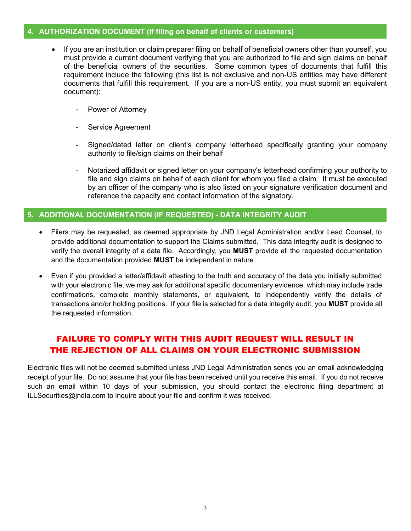#### 4. AUTHORIZATION DOCUMENT (If filing on behalf of clients or customers)

- If you are an institution or claim preparer filing on behalf of beneficial owners other than yourself, you must provide a current document verifying that you are authorized to file and sign claims on behalf of the beneficial owners of the securities. Some common types of documents that fulfill this requirement include the following (this list is not exclusive and non-US entities may have different documents that fulfill this requirement. If you are a non-US entity, you must submit an equivalent document):
	- Power of Attorney
	- Service Agreement
	- Signed/dated letter on client's company letterhead specifically granting your company authority to file/sign claims on their behalf
	- Notarized affidavit or signed letter on your company's letterhead confirming your authority to file and sign claims on behalf of each client for whom you filed a claim. It must be executed by an officer of the company who is also listed on your signature verification document and reference the capacity and contact information of the signatory.

#### 5. ADDITIONAL DOCUMENTATION (IF REQUESTED) - DATA INTEGRITY AUDIT

- Filers may be requested, as deemed appropriate by JND Legal Administration and/or Lead Counsel, to provide additional documentation to support the Claims submitted. This data integrity audit is designed to verify the overall integrity of a data file. Accordingly, you MUST provide all the requested documentation and the documentation provided MUST be independent in nature.
- Even if you provided a letter/affidavit attesting to the truth and accuracy of the data you initially submitted with your electronic file, we may ask for additional specific documentary evidence, which may include trade confirmations, complete monthly statements, or equivalent, to independently verify the details of transactions and/or holding positions. If your file is selected for a data integrity audit, you MUST provide all the requested information.

## FAILURE TO COMPLY WITH THIS AUDIT REQUEST WILL RESULT IN THE REJECTION OF ALL CLAIMS ON YOUR ELECTRONIC SUBMISSION

Electronic files will not be deemed submitted unless JND Legal Administration sends you an email acknowledging receipt of your file. Do not assume that your file has been received until you receive this email. If you do not receive such an email within 10 days of your submission, you should contact the electronic filing department at ILLSecurities@jndla.com to inquire about your file and confirm it was received.